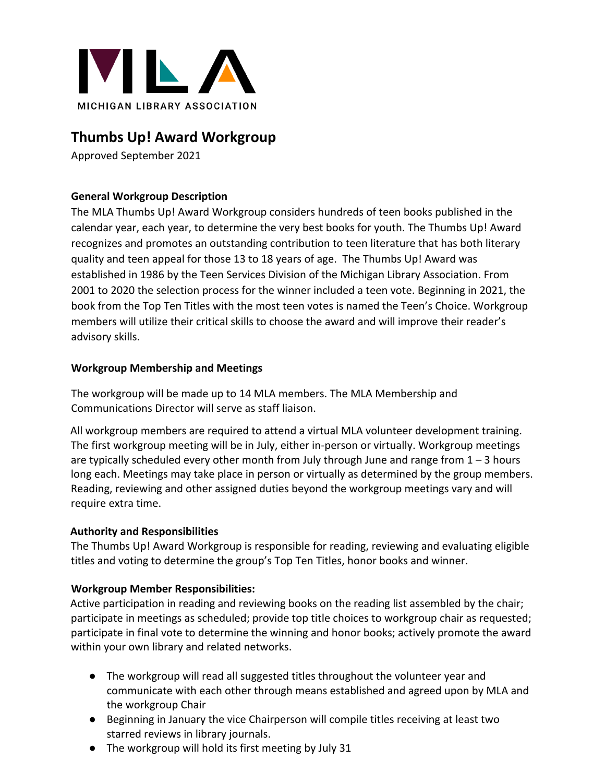

# **Thumbs Up! Award Workgroup**

Approved September 2021

## **General Workgroup Description**

The MLA Thumbs Up! Award Workgroup considers hundreds of teen books published in the calendar year, each year, to determine the very best books for youth. The Thumbs Up! Award recognizes and promotes an outstanding contribution to teen literature that has both literary quality and teen appeal for those 13 to 18 years of age. The Thumbs Up! Award was established in 1986 by the Teen Services Division of the Michigan Library Association. From 2001 to 2020 the selection process for the winner included a teen vote. Beginning in 2021, the book from the Top Ten Titles with the most teen votes is named the Teen's Choice. Workgroup members will utilize their critical skills to choose the award and will improve their reader's advisory skills.

#### **Workgroup Membership and Meetings**

The workgroup will be made up to 14 MLA members. The MLA Membership and Communications Director will serve as staff liaison.

All workgroup members are required to attend a virtual MLA volunteer development training. The first workgroup meeting will be in July, either in-person or virtually. Workgroup meetings are typically scheduled every other month from July through June and range from  $1 - 3$  hours long each. Meetings may take place in person or virtually as determined by the group members. Reading, reviewing and other assigned duties beyond the workgroup meetings vary and will require extra time.

#### **Authority and Responsibilities**

The Thumbs Up! Award Workgroup is responsible for reading, reviewing and evaluating eligible titles and voting to determine the group's Top Ten Titles, honor books and winner.

#### **Workgroup Member Responsibilities:**

Active participation in reading and reviewing books on the reading list assembled by the chair; participate in meetings as scheduled; provide top title choices to workgroup chair as requested; participate in final vote to determine the winning and honor books; actively promote the award within your own library and related networks.

- The workgroup will read all suggested titles throughout the volunteer year and communicate with each other through means established and agreed upon by MLA and the workgroup Chair
- Beginning in January the vice Chairperson will compile titles receiving at least two starred reviews in library journals.
- The workgroup will hold its first meeting by July 31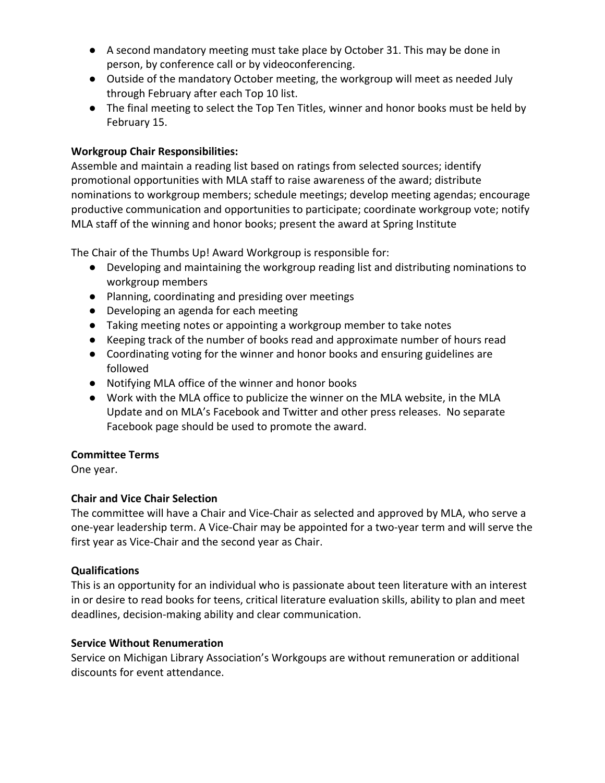- A second mandatory meeting must take place by October 31. This may be done in person, by conference call or by videoconferencing.
- Outside of the mandatory October meeting, the workgroup will meet as needed July through February after each Top 10 list.
- The final meeting to select the Top Ten Titles, winner and honor books must be held by February 15.

## **Workgroup Chair Responsibilities:**

Assemble and maintain a reading list based on ratings from selected sources; identify promotional opportunities with MLA staff to raise awareness of the award; distribute nominations to workgroup members; schedule meetings; develop meeting agendas; encourage productive communication and opportunities to participate; coordinate workgroup vote; notify MLA staff of the winning and honor books; present the award at Spring Institute

The Chair of the Thumbs Up! Award Workgroup is responsible for:

- Developing and maintaining the workgroup reading list and distributing nominations to workgroup members
- Planning, coordinating and presiding over meetings
- Developing an agenda for each meeting
- Taking meeting notes or appointing a workgroup member to take notes
- Keeping track of the number of books read and approximate number of hours read
- Coordinating voting for the winner and honor books and ensuring guidelines are followed
- Notifying MLA office of the winner and honor books
- Work with the MLA office to publicize the winner on the MLA website, in the MLA Update and on MLA's Facebook and Twitter and other press releases. No separate Facebook page should be used to promote the award.

#### **Committee Terms**

One year.

## **Chair and Vice Chair Selection**

The committee will have a Chair and Vice-Chair as selected and approved by MLA, who serve a one-year leadership term. A Vice-Chair may be appointed for a two-year term and will serve the first year as Vice-Chair and the second year as Chair.

#### **Qualifications**

This is an opportunity for an individual who is passionate about teen literature with an interest in or desire to read books for teens, critical literature evaluation skills, ability to plan and meet deadlines, decision-making ability and clear communication.

#### **Service Without Renumeration**

Service on Michigan Library Association's Workgoups are without remuneration or additional discounts for event attendance.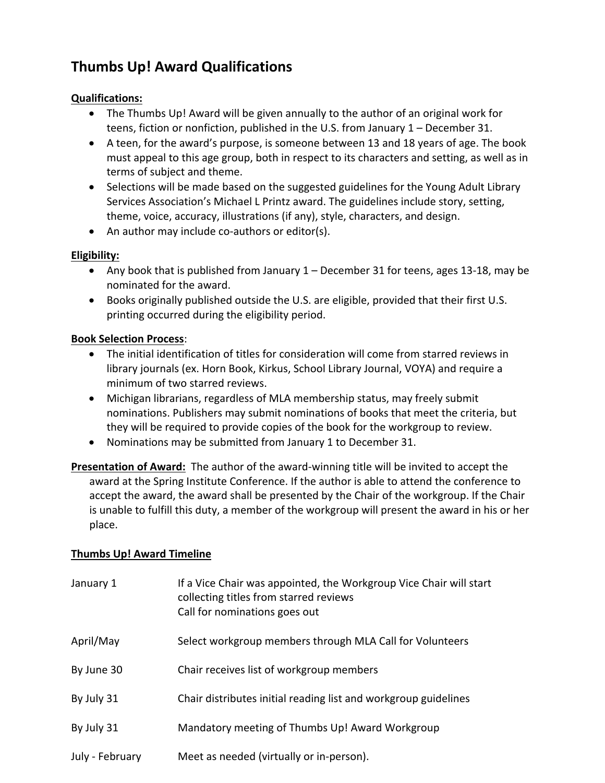# **Thumbs Up! Award Qualifications**

#### **Qualifications:**

- The Thumbs Up! Award will be given annually to the author of an original work for teens, fiction or nonfiction, published in the U.S. from January 1 – December 31.
- A teen, for the award's purpose, is someone between 13 and 18 years of age. The book must appeal to this age group, both in respect to its characters and setting, as well as in terms of subject and theme.
- Selections will be made based on the suggested guidelines for the Young Adult Library Services Association's Michael L Printz award. The guidelines include story, setting, theme, voice, accuracy, illustrations (if any), style, characters, and design.
- An author may include co-authors or editor(s).

## **Eligibility:**

- Any book that is published from January 1 December 31 for teens, ages 13-18, may be nominated for the award.
- Books originally published outside the U.S. are eligible, provided that their first U.S. printing occurred during the eligibility period.

## **Book Selection Process**:

- The initial identification of titles for consideration will come from starred reviews in library journals (ex. Horn Book, Kirkus, School Library Journal, VOYA) and require a minimum of two starred reviews.
- Michigan librarians, regardless of MLA membership status, may freely submit nominations. Publishers may submit nominations of books that meet the criteria, but they will be required to provide copies of the book for the workgroup to review.
- Nominations may be submitted from January 1 to December 31.
- **Presentation of Award:** The author of the award-winning title will be invited to accept the award at the Spring Institute Conference. If the author is able to attend the conference to accept the award, the award shall be presented by the Chair of the workgroup. If the Chair is unable to fulfill this duty, a member of the workgroup will present the award in his or her place.

## **Thumbs Up! Award Timeline**

| January 1       | If a Vice Chair was appointed, the Workgroup Vice Chair will start<br>collecting titles from starred reviews<br>Call for nominations goes out |
|-----------------|-----------------------------------------------------------------------------------------------------------------------------------------------|
| April/May       | Select workgroup members through MLA Call for Volunteers                                                                                      |
| By June 30      | Chair receives list of workgroup members                                                                                                      |
| By July 31      | Chair distributes initial reading list and workgroup guidelines                                                                               |
| By July 31      | Mandatory meeting of Thumbs Up! Award Workgroup                                                                                               |
| July - February | Meet as needed (virtually or in-person).                                                                                                      |